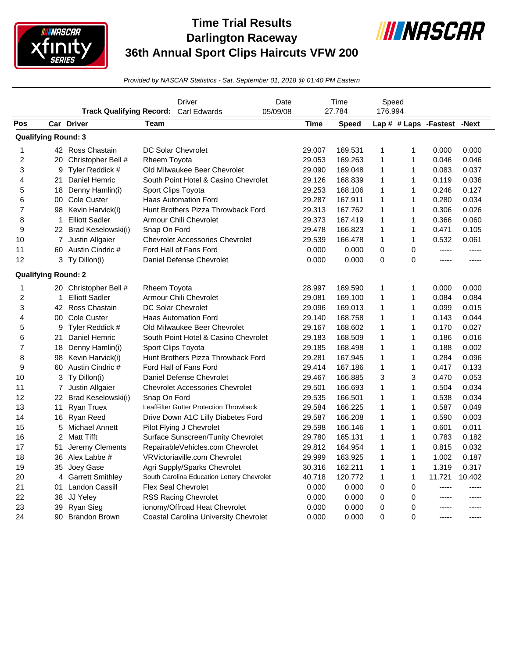

## **Time Trial Results Darlington Raceway 36th Annual Sport Clips Haircuts VFW 200**



*Provided by NASCAR Statistics - Sat, September 01, 2018 @ 01:40 PM Eastern*

|     |                            |                                               | Driver                                       | Date     | Time        |         | Speed        |              |                             |        |
|-----|----------------------------|-----------------------------------------------|----------------------------------------------|----------|-------------|---------|--------------|--------------|-----------------------------|--------|
| Pos |                            | <b>Track Qualifying Record:</b><br>Car Driver | <b>Carl Edwards</b><br>Team                  | 05/09/08 | <b>Time</b> | 27.784  | 176.994      |              | Lap # # Laps -Fastest -Next |        |
|     |                            |                                               |                                              |          |             | Speed   |              |              |                             |        |
|     | <b>Qualifying Round: 3</b> |                                               |                                              |          |             |         |              |              |                             |        |
| 1   |                            | 42 Ross Chastain                              | <b>DC Solar Chevrolet</b>                    |          | 29.007      | 169.531 | 1            | 1            | 0.000                       | 0.000  |
| 2   | 20                         | Christopher Bell #                            | <b>Rheem Toyota</b>                          |          | 29.053      | 169.263 | $\mathbf{1}$ | 1            | 0.046                       | 0.046  |
| 3   | 9                          | Tyler Reddick #                               | Old Milwaukee Beer Chevrolet                 |          | 29.090      | 169.048 | 1            | 1            | 0.083                       | 0.037  |
| 4   | 21                         | Daniel Hemric                                 | South Point Hotel & Casino Chevrolet         |          | 29.126      | 168.839 | $\mathbf{1}$ | 1            | 0.119                       | 0.036  |
| 5   | 18                         | Denny Hamlin(i)                               | Sport Clips Toyota                           |          | 29.253      | 168.106 | $\mathbf{1}$ | $\mathbf{1}$ | 0.246                       | 0.127  |
| 6   | 00                         | <b>Cole Custer</b>                            | <b>Haas Automation Ford</b>                  |          | 29.287      | 167.911 | 1            | $\mathbf{1}$ | 0.280                       | 0.034  |
| 7   | 98                         | Kevin Harvick(i)                              | Hunt Brothers Pizza Throwback Ford           |          | 29.313      | 167.762 | 1            | $\mathbf{1}$ | 0.306                       | 0.026  |
| 8   | $\mathbf{1}$               | <b>Elliott Sadler</b>                         | Armour Chili Chevrolet                       |          | 29.373      | 167.419 | $\mathbf{1}$ | 1            | 0.366                       | 0.060  |
| 9   |                            | 22 Brad Keselowski(i)                         | Snap On Ford                                 |          | 29.478      | 166.823 | $\mathbf{1}$ | 1            | 0.471                       | 0.105  |
| 10  |                            | 7 Justin Allgaier                             | <b>Chevrolet Accessories Chevrolet</b>       |          | 29.539      | 166.478 | 1            | $\mathbf{1}$ | 0.532                       | 0.061  |
| 11  | 60                         | Austin Cindric #                              | Ford Hall of Fans Ford                       |          | 0.000       | 0.000   | $\mathbf 0$  | 0            | -----                       | -----  |
| 12  | 3                          | Ty Dillon(i)                                  | Daniel Defense Chevrolet                     |          | 0.000       | 0.000   | 0            | 0            | -----                       | -----  |
|     | <b>Qualifying Round: 2</b> |                                               |                                              |          |             |         |              |              |                             |        |
| 1   |                            | 20 Christopher Bell #                         | Rheem Toyota                                 |          | 28.997      | 169.590 | 1            | 1            | 0.000                       | 0.000  |
| 2   | $\mathbf 1$                | <b>Elliott Sadler</b>                         | Armour Chili Chevrolet                       |          | 29.081      | 169.100 | $\mathbf{1}$ | $\mathbf{1}$ | 0.084                       | 0.084  |
| 3   |                            | 42 Ross Chastain                              | <b>DC Solar Chevrolet</b>                    |          | 29.096      | 169.013 | 1            | 1            | 0.099                       | 0.015  |
| 4   | 00                         | <b>Cole Custer</b>                            | <b>Haas Automation Ford</b>                  |          | 29.140      | 168.758 | $\mathbf{1}$ | 1            | 0.143                       | 0.044  |
| 5   | 9                          | Tyler Reddick #                               | Old Milwaukee Beer Chevrolet                 |          | 29.167      | 168.602 | $\mathbf{1}$ | $\mathbf{1}$ | 0.170                       | 0.027  |
| 6   | 21                         | Daniel Hemric                                 | South Point Hotel & Casino Chevrolet         |          | 29.183      | 168.509 | $\mathbf{1}$ | $\mathbf{1}$ | 0.186                       | 0.016  |
| 7   | 18                         | Denny Hamlin(i)                               | Sport Clips Toyota                           |          | 29.185      | 168.498 | 1            | 1            | 0.188                       | 0.002  |
| 8   | 98                         | Kevin Harvick(i)                              | Hunt Brothers Pizza Throwback Ford           |          | 29.281      | 167.945 | $\mathbf 1$  | 1            | 0.284                       | 0.096  |
| 9   | 60                         | Austin Cindric #                              | Ford Hall of Fans Ford                       |          | 29.414      | 167.186 | $\mathbf 1$  | 1            | 0.417                       | 0.133  |
| 10  | 3                          | Ty Dillon(i)                                  | Daniel Defense Chevrolet                     |          | 29.467      | 166.885 | 3            | 3            | 0.470                       | 0.053  |
| 11  |                            | 7 Justin Allgaier                             | <b>Chevrolet Accessories Chevrolet</b>       |          | 29.501      | 166.693 | 1            | 1            | 0.504                       | 0.034  |
| 12  | 22                         | Brad Keselowski(i)                            | Snap On Ford                                 |          | 29.535      | 166.501 | $\mathbf{1}$ | 1            | 0.538                       | 0.034  |
| 13  | 11                         | <b>Ryan Truex</b>                             | LeafFilter Gutter Protection Throwback       |          | 29.584      | 166.225 | $\mathbf 1$  | 1            | 0.587                       | 0.049  |
| 14  | 16                         | Ryan Reed                                     | Drive Down A1C Lilly Diabetes Ford           |          | 29.587      | 166.208 | $\mathbf 1$  | 1            | 0.590                       | 0.003  |
| 15  | 5                          | <b>Michael Annett</b>                         | Pilot Flying J Chevrolet                     |          | 29.598      | 166.146 | 1            | 1            | 0.601                       | 0.011  |
| 16  | $\overline{2}$             | <b>Matt Tifft</b>                             | Surface Sunscreen/Tunity Chevrolet           |          | 29.780      | 165.131 | $\mathbf{1}$ | 1            | 0.783                       | 0.182  |
| 17  | 51                         | Jeremy Clements                               | RepairableVehicles.com Chevrolet             |          | 29.812      | 164.954 | $\mathbf{1}$ | $\mathbf{1}$ | 0.815                       | 0.032  |
| 18  | 36                         | Alex Labbe #                                  | VRVictoriaville.com Chevrolet                |          | 29.999      | 163.925 | $\mathbf{1}$ | $\mathbf{1}$ | 1.002                       | 0.187  |
| 19  | 35                         | Joey Gase                                     | Agri Supply/Sparks Chevrolet                 |          | 30.316      | 162.211 | $\mathbf{1}$ | 1            | 1.319                       | 0.317  |
| 20  | 4                          | <b>Garrett Smithley</b>                       | South Carolina Education Lottery Chevrolet   |          | 40.718      | 120.772 | $\mathbf{1}$ | 1            | 11.721                      | 10.402 |
| 21  | 01                         | Landon Cassill                                | <b>Flex Seal Chevrolet</b>                   |          | 0.000       | 0.000   | 0            | 0            | -----                       | -----  |
| 22  | 38                         | JJ Yeley                                      | <b>RSS Racing Chevrolet</b>                  |          | 0.000       | 0.000   | 0            | 0            | -----                       | -----  |
| 23  | 39                         | Ryan Sieg                                     | ionomy/Offroad Heat Chevrolet                |          | 0.000       | 0.000   | 0            | 0            | -----                       | -----  |
| 24  | 90                         | <b>Brandon Brown</b>                          | <b>Coastal Carolina University Chevrolet</b> |          | 0.000       | 0.000   | $\Omega$     | $\Omega$     | -----                       | -----  |